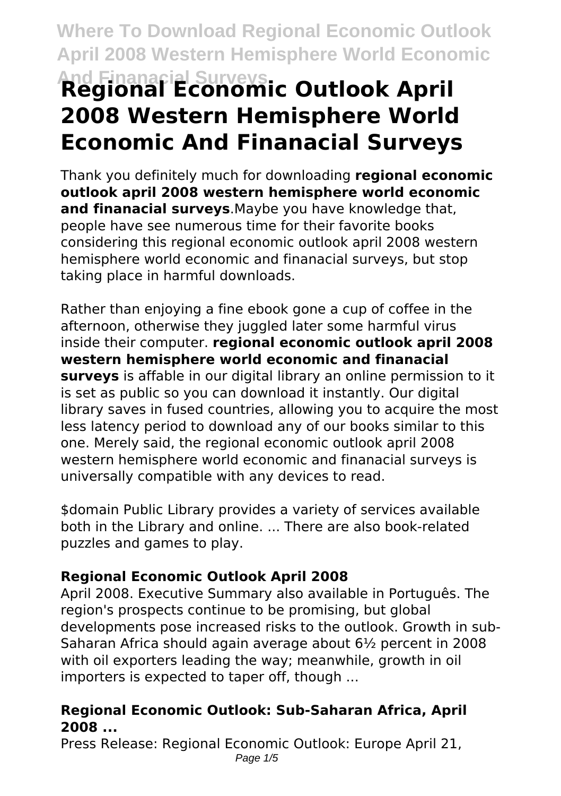# **And Finanacial Surveys Regional Economic Outlook April 2008 Western Hemisphere World Economic And Finanacial Surveys**

Thank you definitely much for downloading **regional economic outlook april 2008 western hemisphere world economic and finanacial surveys**.Maybe you have knowledge that, people have see numerous time for their favorite books considering this regional economic outlook april 2008 western hemisphere world economic and finanacial surveys, but stop taking place in harmful downloads.

Rather than enjoying a fine ebook gone a cup of coffee in the afternoon, otherwise they juggled later some harmful virus inside their computer. **regional economic outlook april 2008 western hemisphere world economic and finanacial surveys** is affable in our digital library an online permission to it is set as public so you can download it instantly. Our digital library saves in fused countries, allowing you to acquire the most less latency period to download any of our books similar to this one. Merely said, the regional economic outlook april 2008 western hemisphere world economic and finanacial surveys is universally compatible with any devices to read.

\$domain Public Library provides a variety of services available both in the Library and online. ... There are also book-related puzzles and games to play.

# **Regional Economic Outlook April 2008**

April 2008. Executive Summary also available in Português. The region's prospects continue to be promising, but global developments pose increased risks to the outlook. Growth in sub-Saharan Africa should again average about 6½ percent in 2008 with oil exporters leading the way; meanwhile, growth in oil importers is expected to taper off, though ...

# **Regional Economic Outlook: Sub-Saharan Africa, April 2008 ...**

Press Release: Regional Economic Outlook: Europe April 21, Page  $1/5$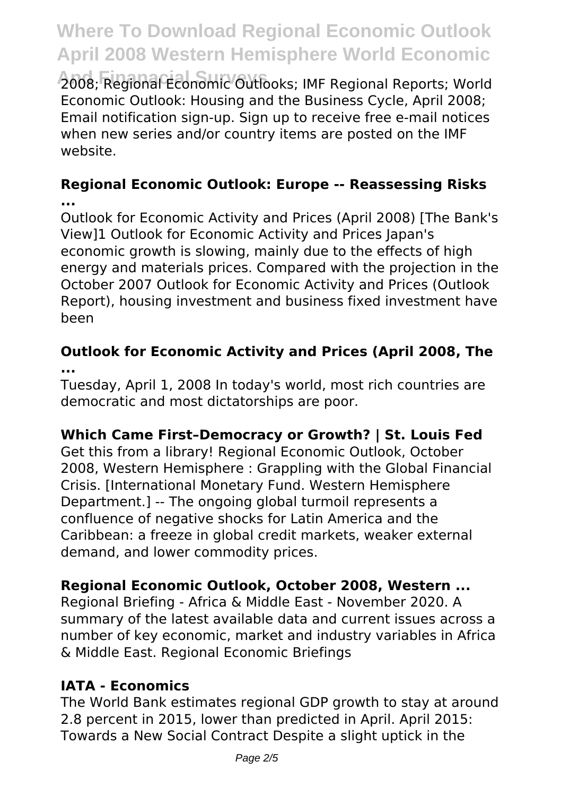**And Finanacial Surveys** 2008; Regional Economic Outlooks; IMF Regional Reports; World Economic Outlook: Housing and the Business Cycle, April 2008; Email notification sign-up. Sign up to receive free e-mail notices when new series and/or country items are posted on the IMF website.

## **Regional Economic Outlook: Europe -- Reassessing Risks ...**

Outlook for Economic Activity and Prices (April 2008) [The Bank's View]1 Outlook for Economic Activity and Prices Japan's economic growth is slowing, mainly due to the effects of high energy and materials prices. Compared with the projection in the October 2007 Outlook for Economic Activity and Prices (Outlook Report), housing investment and business fixed investment have been

# **Outlook for Economic Activity and Prices (April 2008, The ...**

Tuesday, April 1, 2008 In today's world, most rich countries are democratic and most dictatorships are poor.

# **Which Came First–Democracy or Growth? | St. Louis Fed**

Get this from a library! Regional Economic Outlook, October 2008, Western Hemisphere : Grappling with the Global Financial Crisis. [International Monetary Fund. Western Hemisphere Department.] -- The ongoing global turmoil represents a confluence of negative shocks for Latin America and the Caribbean: a freeze in global credit markets, weaker external demand, and lower commodity prices.

# **Regional Economic Outlook, October 2008, Western ...**

Regional Briefing - Africa & Middle East - November 2020. A summary of the latest available data and current issues across a number of key economic, market and industry variables in Africa & Middle East. Regional Economic Briefings

# **IATA - Economics**

The World Bank estimates regional GDP growth to stay at around 2.8 percent in 2015, lower than predicted in April. April 2015: Towards a New Social Contract Despite a slight uptick in the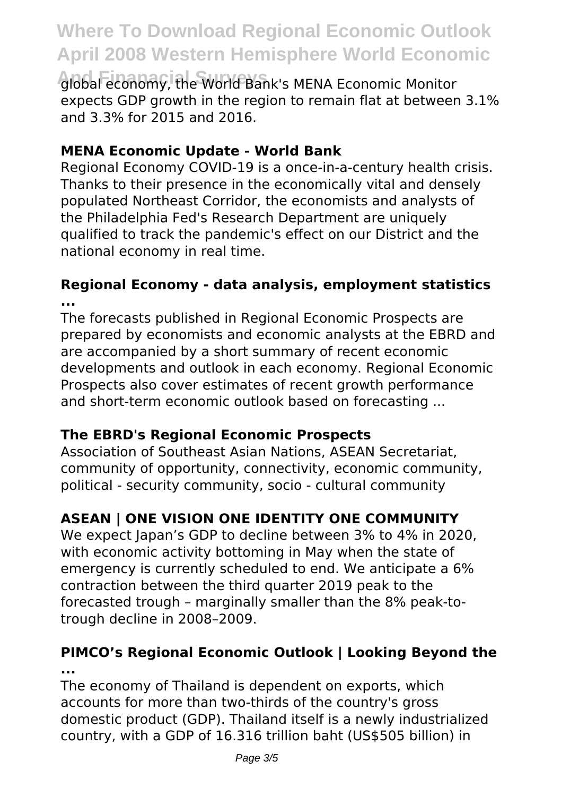**And Finanacial Surveys** global economy, the World Bank's MENA Economic Monitor expects GDP growth in the region to remain flat at between 3.1% and 3.3% for 2015 and 2016.

# **MENA Economic Update - World Bank**

Regional Economy COVID-19 is a once-in-a-century health crisis. Thanks to their presence in the economically vital and densely populated Northeast Corridor, the economists and analysts of the Philadelphia Fed's Research Department are uniquely qualified to track the pandemic's effect on our District and the national economy in real time.

### **Regional Economy - data analysis, employment statistics ...**

The forecasts published in Regional Economic Prospects are prepared by economists and economic analysts at the EBRD and are accompanied by a short summary of recent economic developments and outlook in each economy. Regional Economic Prospects also cover estimates of recent growth performance and short-term economic outlook based on forecasting ...

# **The EBRD's Regional Economic Prospects**

Association of Southeast Asian Nations, ASEAN Secretariat, community of opportunity, connectivity, economic community, political - security community, socio - cultural community

# **ASEAN | ONE VISION ONE IDENTITY ONE COMMUNITY**

We expect Japan's GDP to decline between 3% to 4% in 2020. with economic activity bottoming in May when the state of emergency is currently scheduled to end. We anticipate a 6% contraction between the third quarter 2019 peak to the forecasted trough – marginally smaller than the 8% peak-totrough decline in 2008–2009.

# **PIMCO's Regional Economic Outlook | Looking Beyond the ...**

The economy of Thailand is dependent on exports, which accounts for more than two-thirds of the country's gross domestic product (GDP). Thailand itself is a newly industrialized country, with a GDP of 16.316 trillion baht (US\$505 billion) in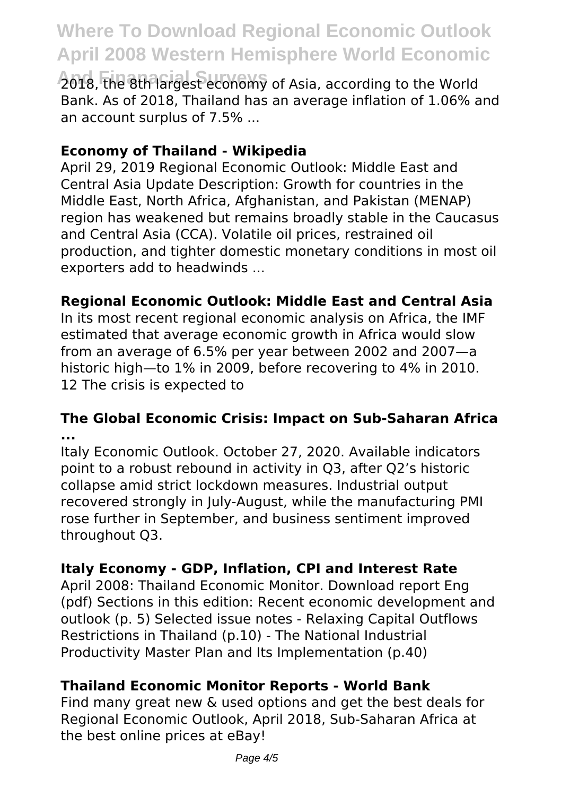**And Finanacial Surveys** 2018, the 8th largest economy of Asia, according to the World Bank. As of 2018, Thailand has an average inflation of 1.06% and an account surplus of 7.5% ...

## **Economy of Thailand - Wikipedia**

April 29, 2019 Regional Economic Outlook: Middle East and Central Asia Update Description: Growth for countries in the Middle East, North Africa, Afghanistan, and Pakistan (MENAP) region has weakened but remains broadly stable in the Caucasus and Central Asia (CCA). Volatile oil prices, restrained oil production, and tighter domestic monetary conditions in most oil exporters add to headwinds ...

# **Regional Economic Outlook: Middle East and Central Asia**

In its most recent regional economic analysis on Africa, the IMF estimated that average economic growth in Africa would slow from an average of 6.5% per year between 2002 and 2007—a historic high—to 1% in 2009, before recovering to 4% in 2010. 12 The crisis is expected to

### **The Global Economic Crisis: Impact on Sub-Saharan Africa ...**

Italy Economic Outlook. October 27, 2020. Available indicators point to a robust rebound in activity in Q3, after Q2's historic collapse amid strict lockdown measures. Industrial output recovered strongly in July-August, while the manufacturing PMI rose further in September, and business sentiment improved throughout Q3.

# **Italy Economy - GDP, Inflation, CPI and Interest Rate**

April 2008: Thailand Economic Monitor. Download report Eng (pdf) Sections in this edition: Recent economic development and outlook (p. 5) Selected issue notes - Relaxing Capital Outflows Restrictions in Thailand (p.10) - The National Industrial Productivity Master Plan and Its Implementation (p.40)

# **Thailand Economic Monitor Reports - World Bank**

Find many great new & used options and get the best deals for Regional Economic Outlook, April 2018, Sub-Saharan Africa at the best online prices at eBay!